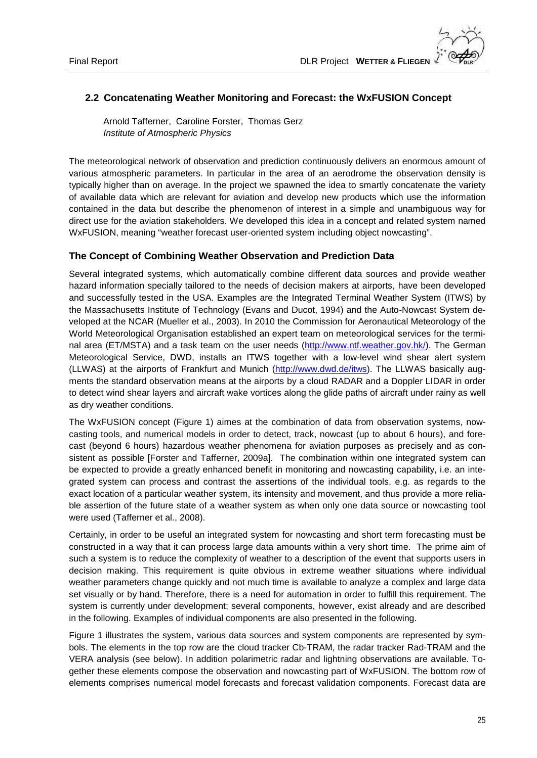## **2.2 Concatenating Weather Monitoring and Forecast: the WxFUSION Concept**

Arnold Tafferner, Caroline Forster, Thomas Gerz *Institute of Atmospheric Physics*

The meteorological network of observation and prediction continuously delivers an enormous amount of various atmospheric parameters. In particular in the area of an aerodrome the observation density is typically higher than on average. In the project we spawned the idea to smartly concatenate the variety of available data which are relevant for aviation and develop new products which use the information contained in the data but describe the phenomenon of interest in a simple and unambiguous way for direct use for the aviation stakeholders. We developed this idea in a concept and related system named WxFUSION, meaning "weather forecast user-oriented system including object nowcasting".

### **The Concept of Combining Weather Observation and Prediction Data**

Several integrated systems, which automatically combine different data sources and provide weather hazard information specially tailored to the needs of decision makers at airports, have been developed and successfully tested in the USA. Examples are the Integrated Terminal Weather System (ITWS) by the Massachusetts Institute of Technology (Evans and Ducot, 1994) and the Auto-Nowcast System developed at the NCAR (Mueller et al., 2003). In 2010 the Commission for Aeronautical Meteorology of the World Meteorological Organisation established an expert team on meteorological services for the termi-nal area (ET/MSTA) and a task team on the user needs [\(http://www.ntf.weather.gov.hk/\)](http://www.ntf.weather.gov.hk/). The German Meteorological Service, DWD, installs an ITWS together with a low-level wind shear alert system (LLWAS) at the airports of Frankfurt and Munich [\(http://www.dwd.de/itws\)](http://www.dwd.de/itws). The LLWAS basically augments the standard observation means at the airports by a cloud RADAR and a Doppler LIDAR in order to detect wind shear layers and aircraft wake vortices along the glide paths of aircraft under rainy as well as dry weather conditions.

The WxFUSION concept (Figure 1) aimes at the combination of data from observation systems, nowcasting tools, and numerical models in order to detect, track, nowcast (up to about 6 hours), and forecast (beyond 6 hours) hazardous weather phenomena for aviation purposes as precisely and as consistent as possible [Forster and Tafferner, 2009a]. The combination within one integrated system can be expected to provide a greatly enhanced benefit in monitoring and nowcasting capability, i.e. an integrated system can process and contrast the assertions of the individual tools, e.g. as regards to the exact location of a particular weather system, its intensity and movement, and thus provide a more reliable assertion of the future state of a weather system as when only one data source or nowcasting tool were used (Tafferner et al., 2008).

Certainly, in order to be useful an integrated system for nowcasting and short term forecasting must be constructed in a way that it can process large data amounts within a very short time. The prime aim of such a system is to reduce the complexity of weather to a description of the event that supports users in decision making. This requirement is quite obvious in extreme weather situations where individual weather parameters change quickly and not much time is available to analyze a complex and large data set visually or by hand. Therefore, there is a need for automation in order to fulfill this requirement. The system is currently under development; several components, however, exist already and are described in the following. Examples of individual components are also presented in the following.

Figure 1 illustrates the system, various data sources and system components are represented by symbols. The elements in the top row are the cloud tracker Cb-TRAM, the radar tracker Rad-TRAM and the VERA analysis (see below). In addition polarimetric radar and lightning observations are available. Together these elements compose the observation and nowcasting part of WxFUSION. The bottom row of elements comprises numerical model forecasts and forecast validation components. Forecast data are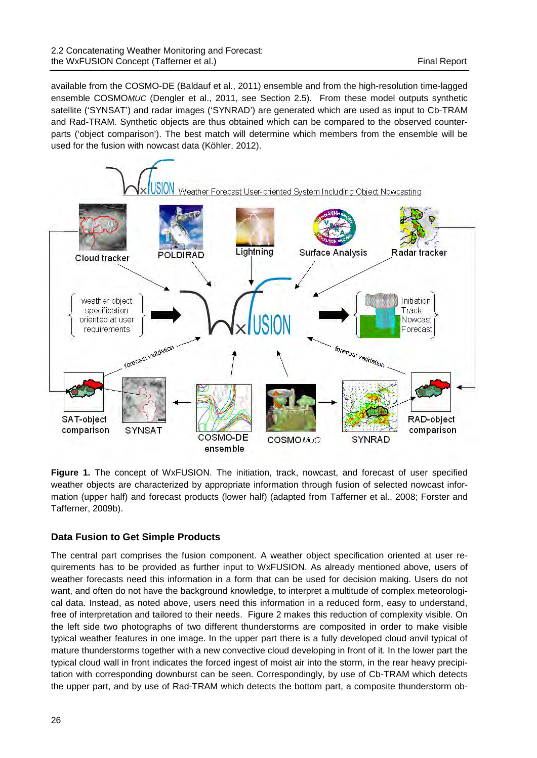available from the COSMO-DE (Baldauf et al., 2011) ensemble and from the high-resolution time-lagged ensemble COSMO*MUC* (Dengler et al., 2011, see Section 2.5). From these model outputs synthetic satellite ('SYNSAT') and radar images ('SYNRAD') are generated which are used as input to Cb-TRAM and Rad-TRAM. Synthetic objects are thus obtained which can be compared to the observed counterparts ('object comparison'). The best match will determine which members from the ensemble will be used for the fusion with nowcast data (Köhler, 2012).



Figure 1. The concept of WxFUSION. The initiation, track, nowcast, and forecast of user specified weather objects are characterized by appropriate information through fusion of selected nowcast information (upper half) and forecast products (lower half) (adapted from Tafferner et al., 2008; Forster and Tafferner, 2009b).

# **Data Fusion to Get Simple Products**

The central part comprises the fusion component. A weather object specification oriented at user requirements has to be provided as further input to WxFUSION. As already mentioned above, users of weather forecasts need this information in a form that can be used for decision making. Users do not want, and often do not have the background knowledge, to interpret a multitude of complex meteorological data. Instead, as noted above, users need this information in a reduced form, easy to understand, free of interpretation and tailored to their needs. Figure 2 makes this reduction of complexity visible. On the left side two photographs of two different thunderstorms are composited in order to make visible typical weather features in one image. In the upper part there is a fully developed cloud anvil typical of mature thunderstorms together with a new convective cloud developing in front of it. In the lower part the typical cloud wall in front indicates the forced ingest of moist air into the storm, in the rear heavy precipitation with corresponding downburst can be seen. Correspondingly, by use of Cb-TRAM which detects the upper part, and by use of Rad-TRAM which detects the bottom part, a composite thunderstorm ob-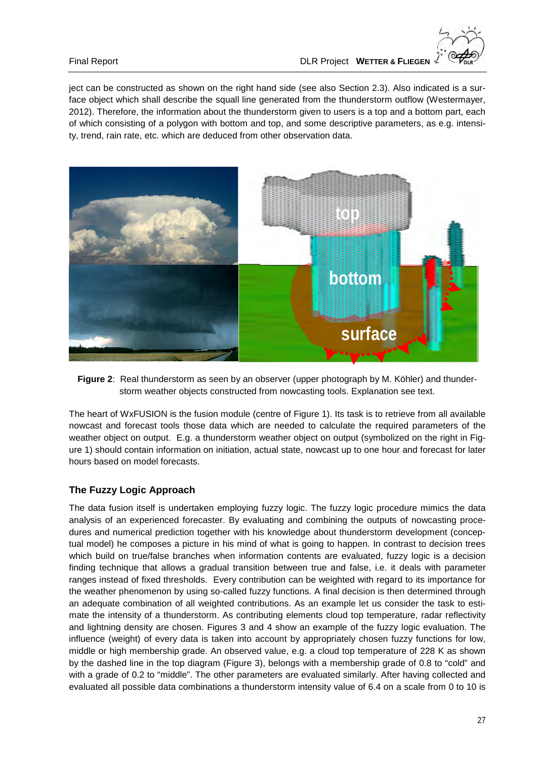



**Figure 2**: Real thunderstorm as seen by an observer (upper photograph by M. Köhler) and thunderstorm weather objects constructed from nowcasting tools. Explanation see text.

The heart of WxFUSION is the fusion module (centre of Figure 1). Its task is to retrieve from all available nowcast and forecast tools those data which are needed to calculate the required parameters of the weather object on output. E.g. a thunderstorm weather object on output (symbolized on the right in Figure 1) should contain information on initiation, actual state, nowcast up to one hour and forecast for later hours based on model forecasts.

### **The Fuzzy Logic Approach**

The data fusion itself is undertaken employing fuzzy logic. The fuzzy logic procedure mimics the data analysis of an experienced forecaster. By evaluating and combining the outputs of nowcasting procedures and numerical prediction together with his knowledge about thunderstorm development (conceptual model) he composes a picture in his mind of what is going to happen. In contrast to decision trees which build on true/false branches when information contents are evaluated, fuzzy logic is a decision finding technique that allows a gradual transition between true and false, i.e. it deals with parameter ranges instead of fixed thresholds. Every contribution can be weighted with regard to its importance for the weather phenomenon by using so-called fuzzy functions. A final decision is then determined through an adequate combination of all weighted contributions. As an example let us consider the task to estimate the intensity of a thunderstorm. As contributing elements cloud top temperature, radar reflectivity and lightning density are chosen. Figures 3 and 4 show an example of the fuzzy logic evaluation. The influence (weight) of every data is taken into account by appropriately chosen fuzzy functions for low, middle or high membership grade. An observed value, e.g. a cloud top temperature of 228 K as shown by the dashed line in the top diagram (Figure 3), belongs with a membership grade of 0.8 to "cold" and with a grade of 0.2 to "middle". The other parameters are evaluated similarly. After having collected and evaluated all possible data combinations a thunderstorm intensity value of 6.4 on a scale from 0 to 10 is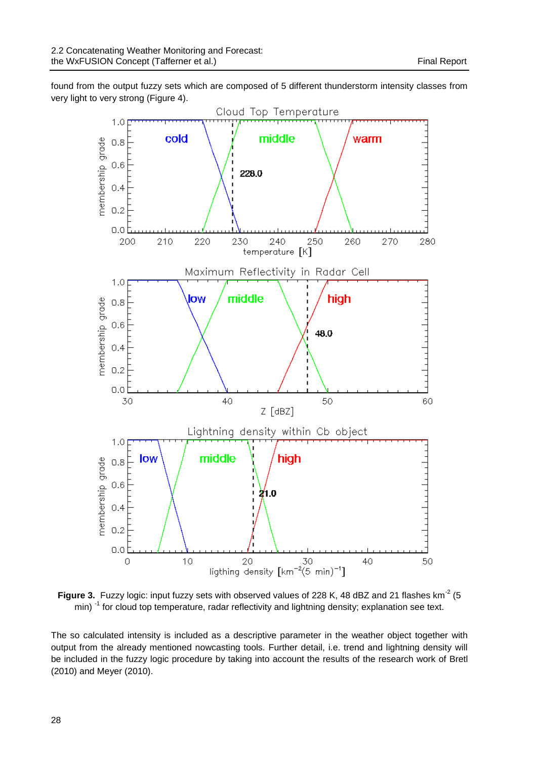found from the output fuzzy sets which are composed of 5 different thunderstorm intensity classes from very light to very strong (Figure 4).



**Figure 3.** Fuzzy logic: input fuzzy sets with observed values of 228 K, 48 dBZ and 21 flashes km<sup>-2</sup> (5)  $min$ )<sup>-1</sup> for cloud top temperature, radar reflectivity and lightning density; explanation see text.

The so calculated intensity is included as a descriptive parameter in the weather object together with output from the already mentioned nowcasting tools. Further detail, i.e. trend and lightning density will be included in the fuzzy logic procedure by taking into account the results of the research work of Bretl (2010) and Meyer (2010).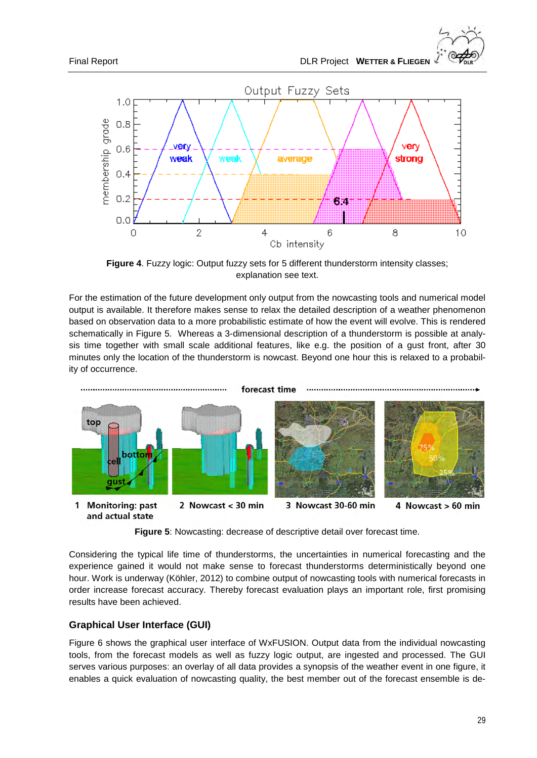

**Figure 4**. Fuzzy logic: Output fuzzy sets for 5 different thunderstorm intensity classes; explanation see text.

For the estimation of the future development only output from the nowcasting tools and numerical model output is available. It therefore makes sense to relax the detailed description of a weather phenomenon based on observation data to a more probabilistic estimate of how the event will evolve. This is rendered schematically in Figure 5. Whereas a 3-dimensional description of a thunderstorm is possible at analysis time together with small scale additional features, like e.g. the position of a gust front, after 30 minutes only the location of the thunderstorm is nowcast. Beyond one hour this is relaxed to a probability of occurrence.



**Figure 5**: Nowcasting: decrease of descriptive detail over forecast time.

Considering the typical life time of thunderstorms, the uncertainties in numerical forecasting and the experience gained it would not make sense to forecast thunderstorms deterministically beyond one hour. Work is underway (Köhler, 2012) to combine output of nowcasting tools with numerical forecasts in order increase forecast accuracy. Thereby forecast evaluation plays an important role, first promising results have been achieved.

### **Graphical User Interface (GUI)**

Figure 6 shows the graphical user interface of WxFUSION. Output data from the individual nowcasting tools, from the forecast models as well as fuzzy logic output, are ingested and processed. The GUI serves various purposes: an overlay of all data provides a synopsis of the weather event in one figure, it enables a quick evaluation of nowcasting quality, the best member out of the forecast ensemble is de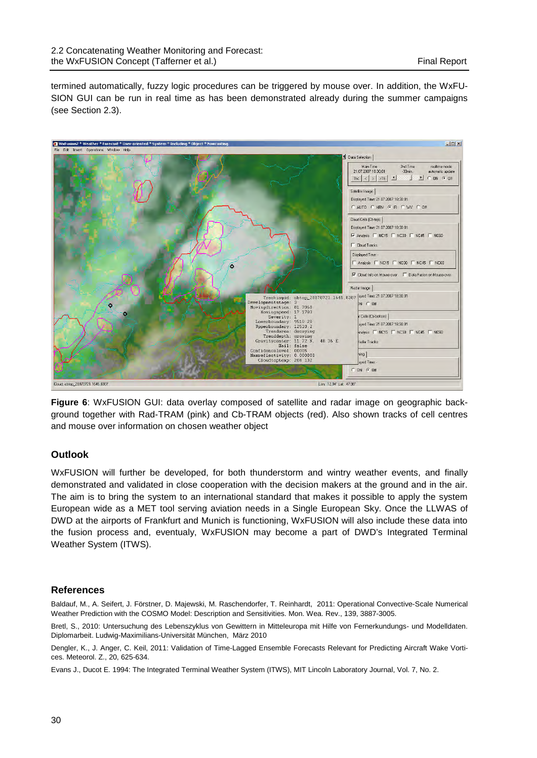termined automatically, fuzzy logic procedures can be triggered by mouse over. In addition, the WxFU-SION GUI can be run in real time as has been demonstrated already during the summer campaigns (see Section 2.3).



**Figure 6**: WxFUSION GUI: data overlay composed of satellite and radar image on geographic background together with Rad-TRAM (pink) and Cb-TRAM objects (red). Also shown tracks of cell centres and mouse over information on chosen weather object

### **Outlook**

WxFUSION will further be developed, for both thunderstorm and wintry weather events, and finally demonstrated and validated in close cooperation with the decision makers at the ground and in the air. The aim is to bring the system to an international standard that makes it possible to apply the system European wide as a MET tool serving aviation needs in a Single European Sky. Once the LLWAS of DWD at the airports of Frankfurt and Munich is functioning, WxFUSION will also include these data into the fusion process and, eventualy, WxFUSION may become a part of DWD's Integrated Terminal Weather System (ITWS).

#### **References**

Baldauf, M., A. Seifert, J. Förstner, D. Majewski, M. Raschendorfer, T. Reinhardt, 2011: Operational Convective-Scale Numerical Weather Prediction with the COSMO Model: Description and Sensitivities. Mon. Wea. Rev., 139, 3887-3005.

Bretl, S., 2010: Untersuchung des Lebenszyklus von Gewittern in Mitteleuropa mit Hilfe von Fernerkundungs- und Modelldaten. Diplomarbeit. Ludwig-Maximilians-Universität München, März 2010

Dengler, K., J. Anger, C. Keil, 2011: Validation of Time-Lagged Ensemble Forecasts Relevant for Predicting Aircraft Wake Vortices. Meteorol. Z., 20, 625-634.

Evans J., Ducot E. 1994: The Integrated Terminal Weather System (ITWS), MIT Lincoln Laboratory Journal, Vol. 7, No. 2.